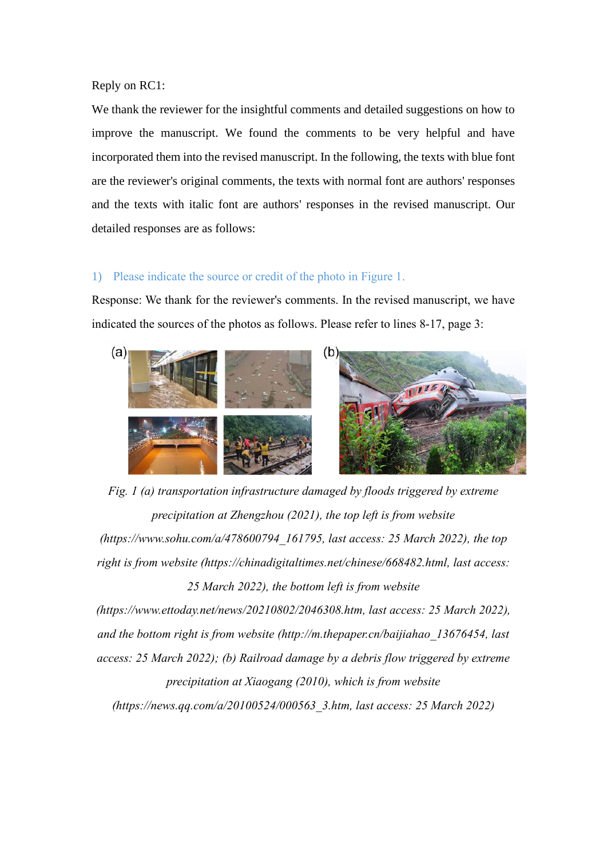Reply on RC1:

We thank the reviewer for the insightful comments and detailed suggestions on how to improve the manuscript. We found the comments to be very helpful and have incorporated them into the revised manuscript. In the following, the texts with blue font are the reviewer's original comments, the texts with normal font are authors' responses and the texts with italic font are authors' responses in the revised manuscript. Our detailed responses are as follows:

## 1) Please indicate the source or credit of the photo in Figure 1.

Response: We thank for the reviewer's comments. In the revised manuscript, we have indicated the sources of the photos as follows. Please refer to lines 8-17, page 3:



*Fig. 1 (a) transportation infrastructure damaged by floods triggered by extreme precipitation at Zhengzhou (2021), the top left is from website [\(https://www.sohu.com/a/478600794\\_161795,](https://www.sohu.com/a/478600794_161795) last access: 25 March 2022), the top right is from website [\(https://chinadigitaltimes.net/chinese/668482.html,](https://chinadigitaltimes.net/chinese/668482.html) last access: 25 March 2022), the bottom left is from website* 

*[\(https://www.ettoday.net/news/20210802/2046308.htm,](https://www.ettoday.net/news/20210802/2046308.htm) last access: 25 March 2022), and the bottom right is from website [\(http://m.thepaper.cn/baijiahao\\_13676454,](http://m.thepaper.cn/baijiahao_13676454) last access: 25 March 2022); (b) Railroad damage by a debris flow triggered by extreme precipitation at Xiaogang (2010), which is from website (https://news.qq.com/a/20100524/000563\_3.htm, last access: 25 March 2022)*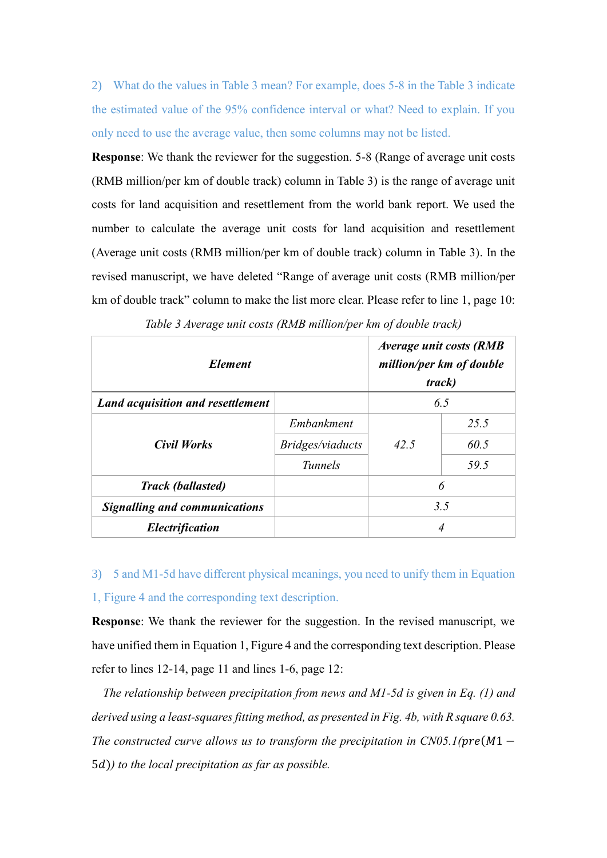2) What do the values in Table 3 mean? For example, does 5-8 in the Table 3 indicate the estimated value of the 95% confidence interval or what? Need to explain. If you only need to use the average value, then some columns may not be listed.

**Response**: We thank the reviewer for the suggestion. 5-8 (Range of average unit costs (RMB million/per km of double track) column in Table 3) is the range of average unit costs for land acquisition and resettlement from the world bank report. We used the number to calculate the average unit costs for land acquisition and resettlement (Average unit costs (RMB million/per km of double track) column in Table 3). In the revised manuscript, we have deleted "Range of average unit costs (RMB million/per km of double track" column to make the list more clear. Please refer to line 1, page 10:

| <i>Element</i>                       | Average unit costs (RMB<br>million/per km of double<br>track) |      |      |  |
|--------------------------------------|---------------------------------------------------------------|------|------|--|
| Land acquisition and resettlement    |                                                               | 6.5  |      |  |
| <b>Civil Works</b>                   | Embankment                                                    | 42.5 | 25.5 |  |
|                                      | Bridges/viaducts                                              |      | 60.5 |  |
|                                      | <b>Tunnels</b>                                                |      | 59.5 |  |
| <b>Track (ballasted)</b>             |                                                               | 6    |      |  |
| <b>Signalling and communications</b> |                                                               | 3.5  |      |  |
| <i><b>Electrification</b></i>        |                                                               | 4    |      |  |

3) 5 and M1-5d have different physical meanings, you need to unify them in Equation 1, Figure 4 and the corresponding text description.

**Response**: We thank the reviewer for the suggestion. In the revised manuscript, we have unified them in Equation 1, Figure 4 and the corresponding text description. Please refer to lines 12-14, page 11 and lines 1-6, page 12:

*The relationship between precipitation from news and M1-5d is given in Eq. (1) and derived using a least-squares fitting method, as presented in Fig. 4b, with R square 0.63. The constructed curve allows us to transform the precipitation in CN05.1(pre(M1*  $-$ 5)*) to the local precipitation as far as possible.*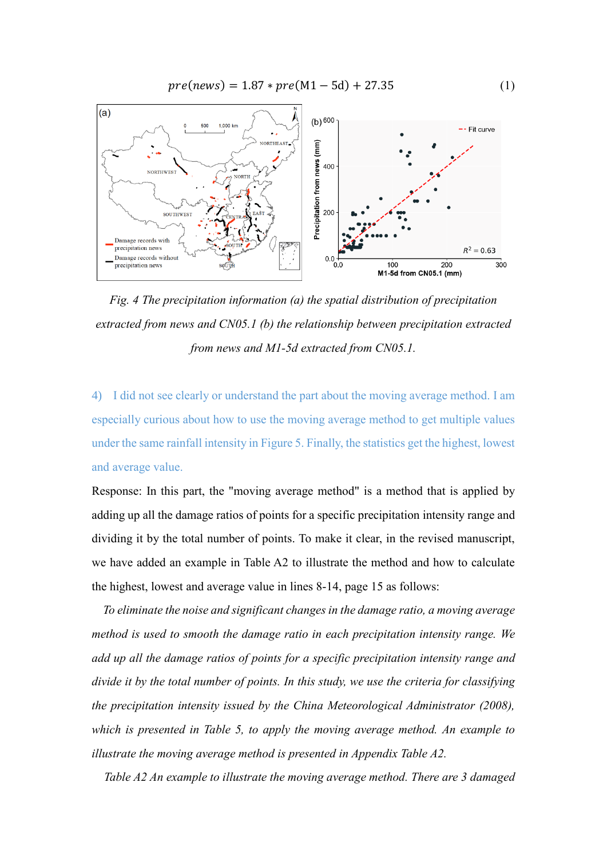$pre(news) = 1.87 * pre(M1 - 5d) + 27.35$  (1)



*Fig. 4 The precipitation information (a) the spatial distribution of precipitation extracted from news and CN05.1 (b) the relationship between precipitation extracted from news and M1-5d extracted from CN05.1.*

4) I did not see clearly or understand the part about the moving average method. I am especially curious about how to use the moving average method to get multiple values under the same rainfall intensity in Figure 5. Finally, the statistics get the highest, lowest and average value.

Response: In this part, the "moving average method" is a method that is applied by adding up all the damage ratios of points for a specific precipitation intensity range and dividing it by the total number of points. To make it clear, in the revised manuscript, we have added an example in Table A2 to illustrate the method and how to calculate the highest, lowest and average value in lines 8-14, page 15 as follows:

*To eliminate the noise and significant changes in the damage ratio, a moving average method is used to smooth the damage ratio in each precipitation intensity range. We add up all the damage ratios of points for a specific precipitation intensity range and divide it by the total number of points. In this study, we use the criteria for classifying the precipitation intensity issued by the China Meteorological Administrator (2008), which is presented in Table 5, to apply the moving average method. An example to illustrate the moving average method is presented in Appendix Table A2.*

*Table A2 An example to illustrate the moving average method. There are 3 damaged*